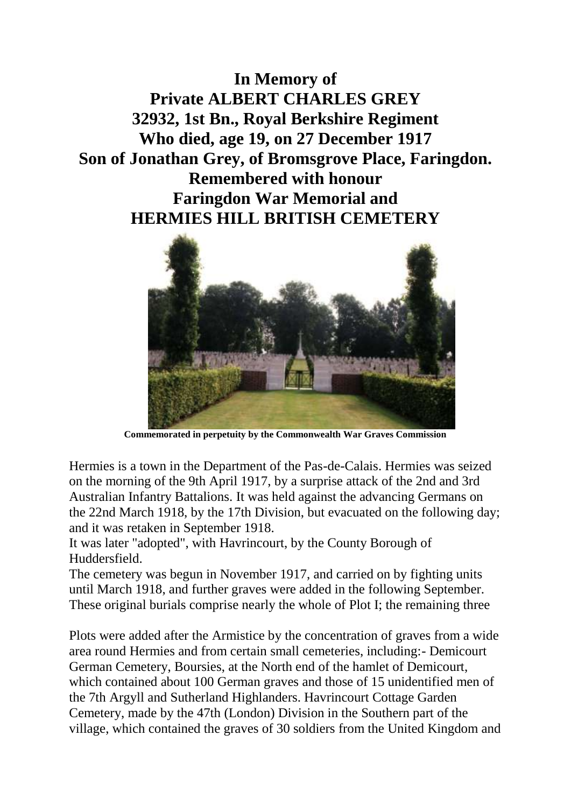**In Memory of Private ALBERT CHARLES GREY 32932, 1st Bn., Royal Berkshire Regiment Who died, age 19, on 27 December 1917 Son of Jonathan Grey, of Bromsgrove Place, Faringdon. Remembered with honour Faringdon War Memorial and HERMIES HILL BRITISH CEMETERY**



**Commemorated in perpetuity by the Commonwealth War Graves Commission**

Hermies is a town in the Department of the Pas-de-Calais. Hermies was seized on the morning of the 9th April 1917, by a surprise attack of the 2nd and 3rd Australian Infantry Battalions. It was held against the advancing Germans on the 22nd March 1918, by the 17th Division, but evacuated on the following day; and it was retaken in September 1918.

It was later "adopted", with Havrincourt, by the County Borough of Huddersfield.

The cemetery was begun in November 1917, and carried on by fighting units until March 1918, and further graves were added in the following September. These original burials comprise nearly the whole of Plot I; the remaining three

Plots were added after the Armistice by the concentration of graves from a wide area round Hermies and from certain small cemeteries, including:- Demicourt German Cemetery, Boursies, at the North end of the hamlet of Demicourt, which contained about 100 German graves and those of 15 unidentified men of the 7th Argyll and Sutherland Highlanders. Havrincourt Cottage Garden Cemetery, made by the 47th (London) Division in the Southern part of the village, which contained the graves of 30 soldiers from the United Kingdom and